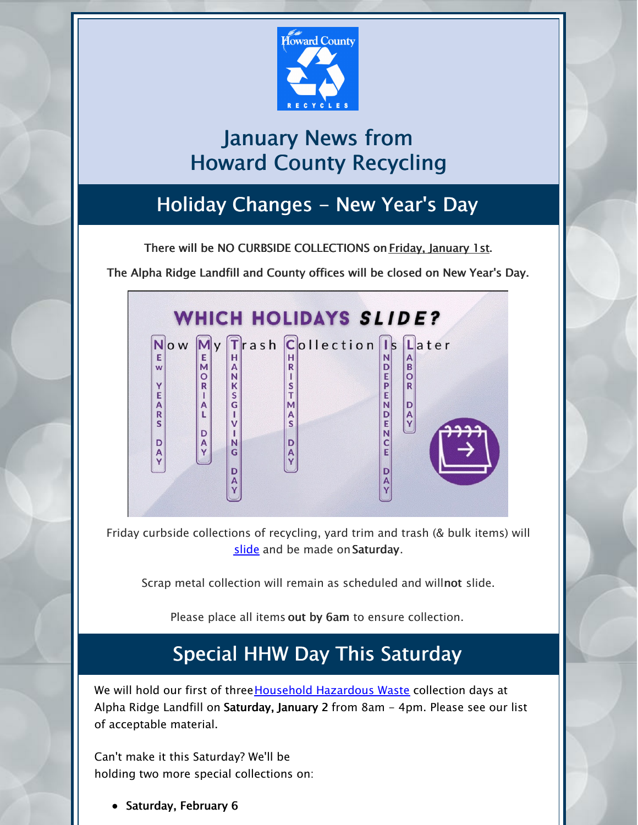

# January News from Howard County Recycling

# Holiday Changes - New Year's Day

There will be NO CURBSIDE COLLECTIONS on Friday, January 1st.

The Alpha Ridge Landfill and County offices will be closed on New Year's Day.



Friday curbside collections of recycling, yard trim and trash (& bulk items) will [slide](https://www.howardcountymd.gov/Departments/Public-Works/Bureau-Of-Environmental-Services/Curbside-Collections/Holiday-Schedule-for-Recycling-Trash) and be made on Saturday.

Scrap metal collection will remain as scheduled and willnot slide.

Please place all items out by 6am to ensure collection.

## Special HHW Day This Saturday

We will hold our first of three [Household](https://www.howardcountymd.gov/Departments/Public-Works/Bureau-Of-Environmental-Services/Alpha-Ridge-Landfill/Household-Hazardous-Waste) Hazardous Waste collection days at Alpha Ridge Landfill on Saturday, January 2 from 8am - 4pm. Please see our list of acceptable material.

Can't make it this Saturday? We'll be holding two more special collections on:

• Saturday, February 6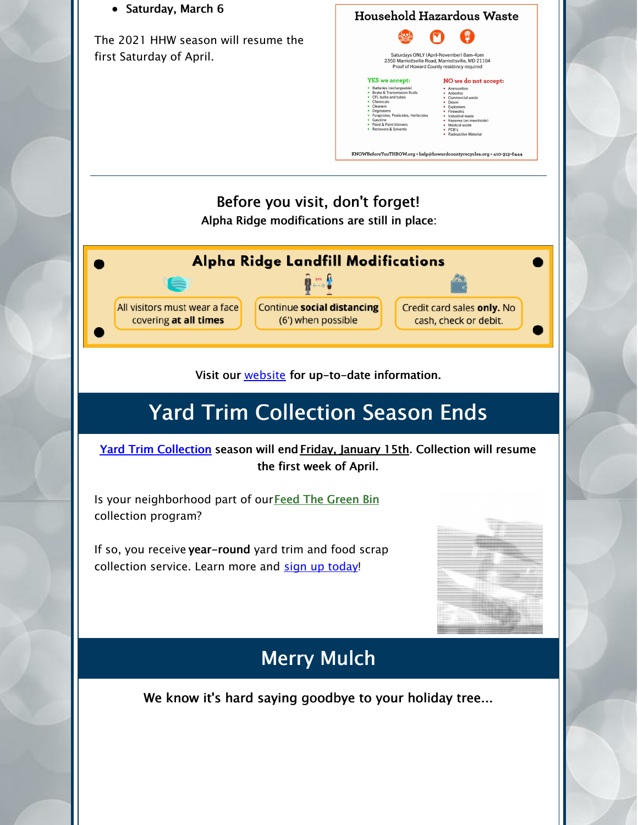